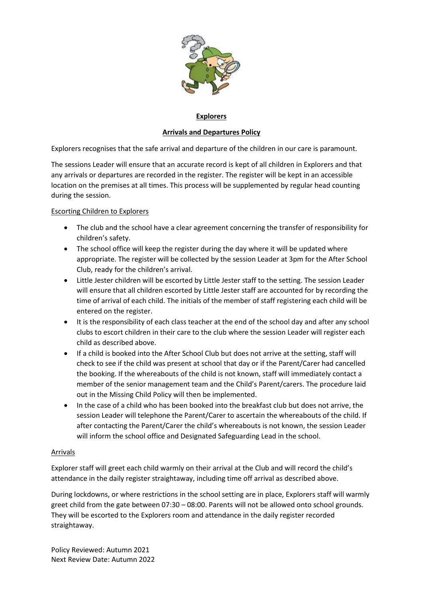

## **Explorers**

# **Arrivals and Departures Policy**

Explorers recognises that the safe arrival and departure of the children in our care is paramount.

The sessions Leader will ensure that an accurate record is kept of all children in Explorers and that any arrivals or departures are recorded in the register. The register will be kept in an accessible location on the premises at all times. This process will be supplemented by regular head counting during the session.

## Escorting Children to Explorers

- The club and the school have a clear agreement concerning the transfer of responsibility for children's safety.
- The school office will keep the register during the day where it will be updated where appropriate. The register will be collected by the session Leader at 3pm for the After School Club, ready for the children's arrival.
- Little Jester children will be escorted by Little Jester staff to the setting. The session Leader will ensure that all children escorted by Little Jester staff are accounted for by recording the time of arrival of each child. The initials of the member of staff registering each child will be entered on the register.
- It is the responsibility of each class teacher at the end of the school day and after any school clubs to escort children in their care to the club where the session Leader will register each child as described above.
- If a child is booked into the After School Club but does not arrive at the setting, staff will check to see if the child was present at school that day or if the Parent/Carer had cancelled the booking. If the whereabouts of the child is not known, staff will immediately contact a member of the senior management team and the Child's Parent/carers. The procedure laid out in the Missing Child Policy will then be implemented.
- In the case of a child who has been booked into the breakfast club but does not arrive, the session Leader will telephone the Parent/Carer to ascertain the whereabouts of the child. If after contacting the Parent/Carer the child's whereabouts is not known, the session Leader will inform the school office and Designated Safeguarding Lead in the school.

### Arrivals

Explorer staff will greet each child warmly on their arrival at the Club and will record the child's attendance in the daily register straightaway, including time off arrival as described above.

During lockdowns, or where restrictions in the school setting are in place, Explorers staff will warmly greet child from the gate between 07:30 – 08:00. Parents will not be allowed onto school grounds. They will be escorted to the Explorers room and attendance in the daily register recorded straightaway.

Policy Reviewed: Autumn 2021 Next Review Date: Autumn 2022